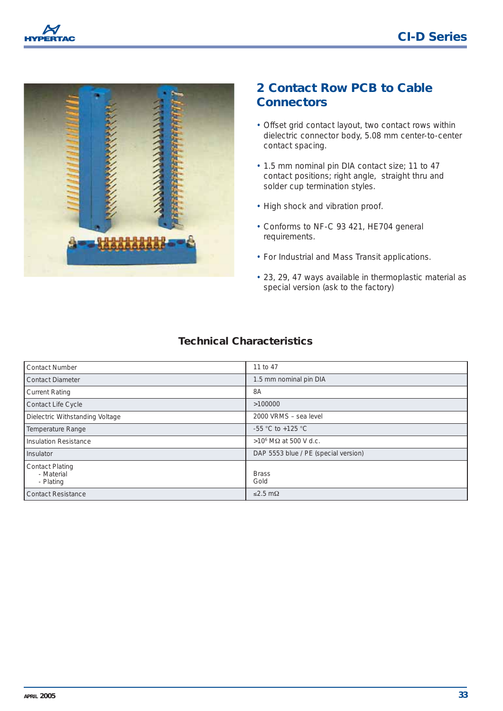



## **2 Contact Row PCB to Cable Connectors**

- Offset grid contact layout, two contact rows within dielectric connector body, 5.08 mm center-to-center contact spacing.
- 1.5 mm nominal pin DIA contact size; 11 to 47 contact positions; right angle, straight thru and solder cup termination styles.
- High shock and vibration proof.
- Conforms to NF-C 93 421, HE704 general requirements.
- For Industrial and Mass Transit applications.
- 23, 29, 47 ways available in thermoplastic material as special version (ask to the factory)

## **Technical Characteristics**

| <b>Contact Number</b>                             | 11 to 47                             |
|---------------------------------------------------|--------------------------------------|
| Contact Diameter                                  | 1.5 mm nominal pin DIA               |
| <b>Current Rating</b>                             | 8A                                   |
| <b>Contact Life Cycle</b>                         | >100000                              |
| Dielectric Withstanding Voltage                   | 2000 VRMS - sea level                |
| Temperature Range                                 | $-55$ °C to $+125$ °C                |
| Insulation Resistance                             | >10 <sup>6</sup> MΩ at 500 V d.c.    |
| Insulator                                         | DAP 5553 blue / PE (special version) |
| <b>Contact Plating</b><br>- Material<br>- Plating | <b>Brass</b><br>Gold                 |
| <b>Contact Resistance</b>                         | $≤2.5$ mΩ                            |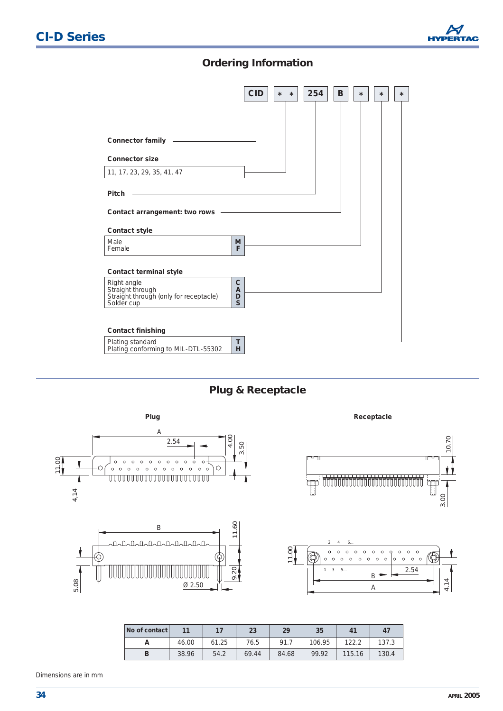

## **Ordering Information**



**Plug & Receptacle**



| No of contact |       | 17    | 23    | 29    | 35     | 41     | 47    |
|---------------|-------|-------|-------|-------|--------|--------|-------|
| n             | 46.00 | 61.25 | 76.5  | 91.7  | 106.95 | 122.2  | 137.3 |
| B             | 38.96 | 54.2  | 69.44 | 84.68 | 99.92  | 115.16 | 130.4 |

Dimensions are in mm